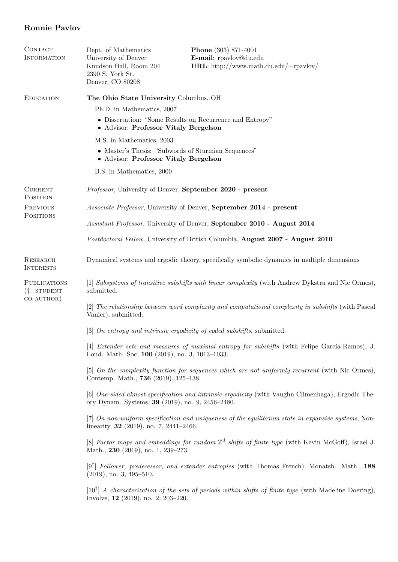## Ronnie Pavlov

| <b>CONTACT</b><br><b>INFORMATION</b>               | Dept. of Mathematics<br>University of Denver<br>Knudson Hall, Room 204<br>2390 S. York St.<br>Denver, CO 80208                                         | <b>Phone</b> (303) 871-4001<br>E-mail: rpavlov@du.edu<br>URL: http://www.math.du.edu/ $\sim$ rpavlov/            |  |
|----------------------------------------------------|--------------------------------------------------------------------------------------------------------------------------------------------------------|------------------------------------------------------------------------------------------------------------------|--|
| <b>EDUCATION</b>                                   | The Ohio State University Columbus, OH<br>Ph.D. in Mathematics, 2007<br>• Dissertation: "Some Results on Recurrence and Entropy"                       |                                                                                                                  |  |
|                                                    | • Advisor: Professor Vitaly Bergelson                                                                                                                  |                                                                                                                  |  |
|                                                    | M.S. in Mathematics, 2003<br>• Master's Thesis: "Subwords of Sturmian Sequences"<br>• Advisor: Professor Vitaly Bergelson                              |                                                                                                                  |  |
|                                                    | B.S. in Mathematics, 2000                                                                                                                              |                                                                                                                  |  |
| <b>CURRENT</b><br><b>POSITION</b>                  | Professor, University of Denver, September 2020 - present                                                                                              |                                                                                                                  |  |
| PREVIOUS<br>POSITIONS                              | <i>Associate Professor</i> , University of Denver, September 2014 - present                                                                            |                                                                                                                  |  |
|                                                    | Assistant Professor, University of Denver, September 2010 - August 2014                                                                                |                                                                                                                  |  |
|                                                    | <i>Postdoctoral Fellow</i> , University of British Columbia, <b>August 2007 - August 2010</b>                                                          |                                                                                                                  |  |
| RESEARCH<br><b>INTERESTS</b>                       | Dynamical systems and ergodic theory, specifically symbolic dynamics in multiple dimensions                                                            |                                                                                                                  |  |
| <b>PUBLICATIONS</b><br>(t: STUDENT)<br>$CO-AUTHOR$ | [1] Subsystems of transitive subshifts with linear complexity (with Andrew Dykstra and Nic Ormes),<br>submitted.                                       |                                                                                                                  |  |
|                                                    | [2] The relationship between word complexity and computational complexity in subshifts (with Pascal<br>Vanier), submitted.                             |                                                                                                                  |  |
|                                                    | [3] $On$ entropy and intrinsic ergodicity of coded subshifts, submitted.                                                                               |                                                                                                                  |  |
|                                                    | Lond. Math. Soc. 100 (2019), no. 3, 1013-1033.                                                                                                         | [4] Extender sets and measures of maximal entropy for subshifts (with Felipe García-Ramos), J.                   |  |
|                                                    | [5] On the complexity function for sequences which are not uniformly recurrent (with Nic Ormes),<br>Contemp. Math., 736 (2019), 125-138.               |                                                                                                                  |  |
|                                                    | [6] One-sided almost specification and intrinsic ergodicity (with Vaughn Climenhaga), Ergodic The-<br>ory Dynam. Systems, 39 (2019), no. 9, 2456–2480. |                                                                                                                  |  |
|                                                    | linearity, $32$ (2019), no. 7, 2441-2466.                                                                                                              | [7] On non-uniform specification and uniqueness of the equilibrium state in expansive systems, Non-              |  |
|                                                    | [8] Factor maps and embeddings for random $\mathbb{Z}^d$ shifts of finite type (with Kevin McGoff), Israel J.<br>Math., 230 (2019), no. 1, 239-273.    |                                                                                                                  |  |
|                                                    | $(2019)$ , no. 3, 495-510.                                                                                                                             | $[9^{\dagger}]$ Follower, predecessor, and extender entropies (with Thomas French), Monatsh. Math., 188          |  |
|                                                    | Involve, $12$ (2019), no. 2, 203-220.                                                                                                                  | $[10^{\dagger}]$ A characterization of the sets of periods within shifts of finite type (with Madeline Doering), |  |
|                                                    |                                                                                                                                                        |                                                                                                                  |  |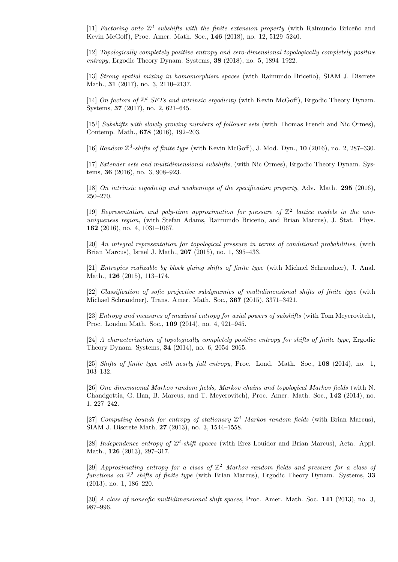[11] Factoring onto  $\mathbb{Z}^d$  subshifts with the finite extension property (with Raimundo Briceño and Kevin McGoff), Proc. Amer. Math. Soc., 146 (2018), no. 12, 5129–5240.

[12] Topologically completely positive entropy and zero-dimensional topologically completely positive entropy, Ergodic Theory Dynam. Systems, 38 (2018), no. 5, 1894–1922.

[13] Strong spatial mixing in homomorphism spaces (with Raimundo Briceño), SIAM J. Discrete Math., **31** (2017), no. 3, 2110-2137.

[14] On factors of  $\mathbb{Z}^d$  SFTs and intrinsic ergodicity (with Kevin McGoff), Ergodic Theory Dynam. Systems, 37 (2017), no. 2, 621–645.

[15<sup>†</sup>] Subshifts with slowly growing numbers of follower sets (with Thomas French and Nic Ormes), Contemp. Math., 678 (2016), 192–203.

[16] Random  $\mathbb{Z}^d$ -shifts of finite type (with Kevin McGoff), J. Mod. Dyn., 10 (2016), no. 2, 287-330.

[17] Extender sets and multidimensional subshifts, (with Nic Ormes), Ergodic Theory Dynam. Systems, 36 (2016), no. 3, 908–923.

[18] On intrinsic ergodicity and weakenings of the specification property, Adv. Math. 295 (2016), 250–270.

[19] Representation and poly-time approximation for pressure of  $\mathbb{Z}^2$  lattice models in the nonuniqueness region, (with Stefan Adams, Raimundo Briceño, and Brian Marcus), J. Stat. Phys. 162 (2016), no. 4, 1031–1067.

[20] An integral representation for topological pressure in terms of conditional probabilities, (with Brian Marcus), Israel J. Math., 207 (2015), no. 1, 395–433.

[21] Entropies realizable by block gluing shifts of finite type (with Michael Schraudner), J. Anal. Math., 126 (2015), 113–174.

[22] Classification of sofic projective subdynamics of multidimensional shifts of finite type (with Michael Schraudner), Trans. Amer. Math. Soc., 367 (2015), 3371–3421.

[23] Entropy and measures of maximal entropy for axial powers of subshifts (with Tom Meyerovitch), Proc. London Math. Soc., 109 (2014), no. 4, 921–945.

[24] A characterization of topologically completely positive entropy for shifts of finite type, Ergodic Theory Dynam. Systems, 34 (2014), no. 6, 2054–2065.

[25] Shifts of finite type with nearly full entropy, Proc. Lond. Math. Soc., 108 (2014), no. 1, 103–132.

[26] One dimensional Markov random fields, Markov chains and topological Markov fields (with N. Chandgottia, G. Han, B. Marcus, and T. Meyerovitch), Proc. Amer. Math. Soc., 142 (2014), no. 1, 227–242.

[27] Computing bounds for entropy of stationary  $\mathbb{Z}^d$  Markov random fields (with Brian Marcus), SIAM J. Discrete Math, 27 (2013), no. 3, 1544–1558.

[28] Independence entropy of  $\mathbb{Z}^d$ -shift spaces (with Erez Louidor and Brian Marcus), Acta. Appl. Math., 126 (2013), 297–317.

[29] Approximating entropy for a class of  $\mathbb{Z}^2$  Markov random fields and pressure for a class of functions on  $\mathbb{Z}^2$  shifts of finite type (with Brian Marcus), Ergodic Theory Dynam. Systems, 33 (2013), no. 1, 186–220.

[30] A class of nonsofic multidimensional shift spaces, Proc. Amer. Math. Soc. 141 (2013), no. 3, 987–996.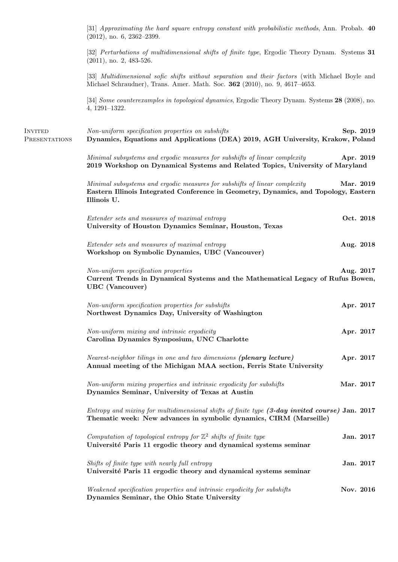[31] Approximating the hard square entropy constant with probabilistic methods, Ann. Probab. 40 (2012), no. 6, 2362–2399. [32] Perturbations of multidimensional shifts of finite type, Ergodic Theory Dynam. Systems 31 (2011), no. 2, 483-526. [33] *Multidimensional sofic shifts without separation and their factors* (with Michael Boyle and Michael Schraudner), Trans. Amer. Math. Soc. 362 (2010), no. 9, 4617–4653. [34] Some counterexamples in topological dynamics, Ergodic Theory Dynam. Systems 28 (2008), no. 4, 1291–1322. **PRESENTATIONS** Non-uniform specification properties on subshifts Sep. 2019 Dynamics, Equations and Applications (DEA) 2019, AGH University, Krakow, Poland Minimal subsystems and ergodic measures for subshifts of linear complexity  $\text{Apr. } 2019$ 2019 Workshop on Dynamical Systems and Related Topics, University of Maryland Minimal subsystems and ergodic measures for subshifts of linear complexity Mar. 2019 Eastern Illinois Integrated Conference in Geometry, Dynamics, and Topology, Eastern Illinois U. Extender sets and measures of maximal entropy **Oct. 2018** University of Houston Dynamics Seminar, Houston, Texas Extender sets and measures of maximal entropy **Aug. 2018** Workshop on Symbolic Dynamics, UBC (Vancouver) Non-uniform specification properties **Aug. 2017** Current Trends in Dynamical Systems and the Mathematical Legacy of Rufus Bowen, UBC (Vancouver) Non-uniform specification properties for subshifts Apr. 2017 Northwest Dynamics Day, University of Washington Non-uniform mixing and intrinsic ergodicity Apr. 2017 Carolina Dynamics Symposium, UNC Charlotte Nearest-neighbor tilings in one and two dimensions (plenary lecture) Apr. 2017 Annual meeting of the Michigan MAA section, Ferris State University  $Non-uniform mixing properties and intrinsic ergodicity for subshifts$  Mar. 2017 Dynamics Seminar, University of Texas at Austin Entropy and mixing for multidimensional shifts of finite type (3-day invited course) Jan. 2017 Thematic week: New advances in symbolic dynamics, CIRM (Marseille) Computation of topological entropy for  $\mathbb{Z}^2$  shifts of finite type **Jan. 2017** Université Paris 11 ergodic theory and dynamical systems seminar Shifts of finite type with nearly full entropy **Jan. 2017** Université Paris 11 ergodic theory and dynamical systems seminar Weakened specification properties and intrinsic ergodicity for subshifts  $Nov. 2016$ Dynamics Seminar, the Ohio State University

**INVITED**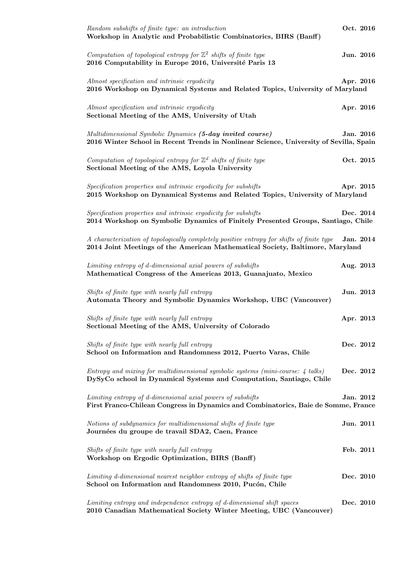| Random subshifts of finite type: an introduction<br>Workshop in Analytic and Probabilistic Combinatorics, BIRS (Banff)                                                     | Oct. 2016 |  |
|----------------------------------------------------------------------------------------------------------------------------------------------------------------------------|-----------|--|
| Computation of topological entropy for $\mathbb{Z}^2$ shifts of finite type<br>2016 Computability in Europe 2016, Université Paris 13                                      | Jun. 2016 |  |
| Almost specification and intrinsic ergodicity<br>2016 Workshop on Dynamical Systems and Related Topics, University of Maryland                                             | Apr. 2016 |  |
| Almost specification and intrinsic ergodicity<br>Sectional Meeting of the AMS, University of Utah                                                                          | Apr. 2016 |  |
| Multidimensional Symbolic Dynamics (5-day invited course)<br>2016 Winter School in Recent Trends in Nonlinear Science, University of Sevilla, Spain                        | Jan. 2016 |  |
| Computation of topological entropy for $\mathbb{Z}^d$ shifts of finite type<br>Sectional Meeting of the AMS, Loyola University                                             | Oct. 2015 |  |
| Specification properties and intrinsic ergodicity for subshifts<br>2015 Workshop on Dynamical Systems and Related Topics, University of Maryland                           | Apr. 2015 |  |
| Specification properties and intrinsic ergodicity for subshifts<br>2014 Workshop on Symbolic Dynamics of Finitely Presented Groups, Santiago, Chile                        | Dec. 2014 |  |
| A characterization of topologically completely positive entropy for shifts of finite type<br>2014 Joint Meetings of the American Mathematical Society, Baltimore, Maryland | Jan. 2014 |  |
| Limiting entropy of d-dimensional axial powers of subshifts<br>Mathematical Congress of the Americas 2013, Guanajuato, Mexico                                              | Aug. 2013 |  |
| Shifts of finite type with nearly full entropy<br>Automata Theory and Symbolic Dynamics Workshop, UBC (Vancouver)                                                          | Jun. 2013 |  |
| Shifts of finite type with nearly full entropy<br>Sectional Meeting of the AMS, University of Colorado                                                                     | Apr. 2013 |  |
| Shifts of finite type with nearly full entropy<br>School on Information and Randomness 2012, Puerto Varas, Chile                                                           | Dec. 2012 |  |
| Entropy and mixing for multidimensional symbolic systems (mini-course: 4 talks)<br>DySyCo school in Dynamical Systems and Computation, Santiago, Chile                     | Dec. 2012 |  |
| Limiting entropy of d-dimensional axial powers of subshifts<br>First Franco-Chilean Congress in Dynamics and Combinatorics, Baie de Somme, France                          | Jan. 2012 |  |
| Notions of subdynamics for multidimensional shifts of finite type<br>Journées du groupe de travail SDA2, Caen, France                                                      | Jun. 2011 |  |
| Shifts of finite type with nearly full entropy<br>Workshop on Ergodic Optimization, BIRS (Banff)                                                                           | Feb. 2011 |  |
| Limiting d-dimensional nearest neighbor entropy of shifts of finite type<br>School on Information and Randomness 2010, Pucón, Chile                                        | Dec. 2010 |  |
| Limiting entropy and independence entropy of d-dimensional shift spaces<br>2010 Canadian Mathematical Society Winter Meeting, UBC (Vancouver)                              | Dec. 2010 |  |